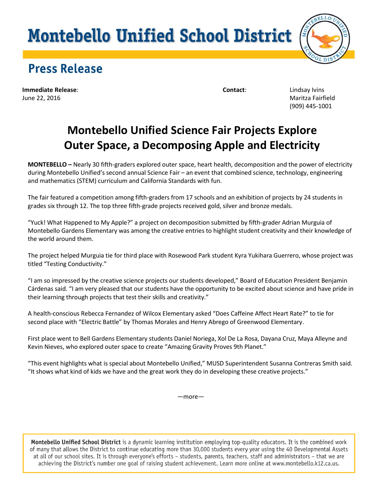# **Montebello Unified School District**



# **Press Release**

**Immediate Release**: **Contact**: Lindsay Ivins June 22, 2016 Maritza Fairfield

(909) 445-1001

### **Montebello Unified Science Fair Projects Explore Outer Space, a Decomposing Apple and Electricity**

**MONTEBELLO –** Nearly 30 fifth-graders explored outer space, heart health, decomposition and the power of electricity during Montebello Unified's second annual Science Fair – an event that combined science, technology, engineering and mathematics (STEM) curriculum and California Standards with fun.

The fair featured a competition among fifth-graders from 17 schools and an exhibition of projects by 24 students in grades six through 12. The top three fifth-grade projects received gold, silver and bronze medals.

"Yuck! What Happened to My Apple?" a project on decomposition submitted by fifth-grader Adrian Murguia of Montebello Gardens Elementary was among the creative entries to highlight student creativity and their knowledge of the world around them.

The project helped Murguia tie for third place with Rosewood Park student Kyra Yukihara Guerrero, whose project was titled "Testing Conductivity."

"I am so impressed by the creative science projects our students developed," Board of Education President Benjamin Cárdenas said. "I am very pleased that our students have the opportunity to be excited about science and have pride in their learning through projects that test their skills and creativity."

A health-conscious Rebecca Fernandez of Wilcox Elementary asked "Does Caffeine Affect Heart Rate?" to tie for second place with "Electric Battle" by Thomas Morales and Henry Abrego of Greenwood Elementary.

First place went to Bell Gardens Elementary students Daniel Noriega, Xol De La Rosa, Dayana Cruz, Maya Alleyne and Kevin Nieves, who explored outer space to create "Amazing Gravity Proves 9th Planet."

"This event highlights what is special about Montebello Unified," MUSD Superintendent Susanna Contreras Smith said. "It shows what kind of kids we have and the great work they do in developing these creative projects."

—more—

Montebello Unified School District is a dynamic learning institution employing top-quality educators. It is the combined work of many that allows the District to continue educating more than 30,000 students every year using the 40 Developmental Assets at all of our school sites. It is through everyone's efforts – students, parents, teachers, staff and administrators – that we are achieving the District's number one goal of raising student achievement. Learn more online at www.montebello.k12.ca.us.